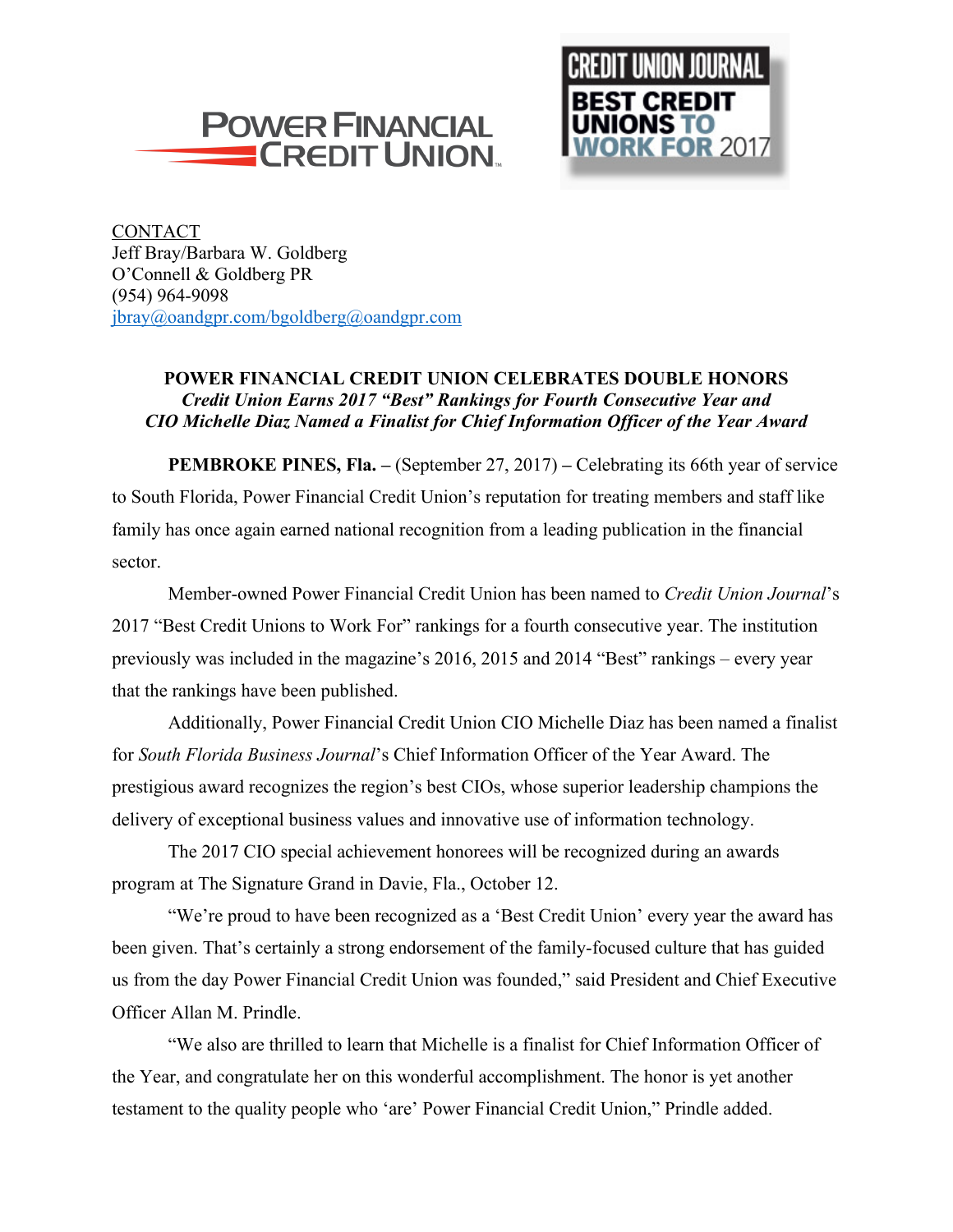



CONTACT Jeff Bray/Barbara W. Goldberg O'Connell & Goldberg PR (954) 964-9098 jbray@oandgpr.com/bgoldberg@oandgpr.com

## **POWER FINANCIAL CREDIT UNION CELEBRATES DOUBLE HONORS** *Credit Union Earns 2017 "Best" Rankings for Fourth Consecutive Year and CIO Michelle Diaz Named a Finalist for Chief Information Officer of the Year Award*

**PEMBROKE PINES, Fla. –** (September 27, 2017) **–** Celebrating its 66th year of service to South Florida, Power Financial Credit Union's reputation for treating members and staff like family has once again earned national recognition from a leading publication in the financial sector.

Member-owned Power Financial Credit Union has been named to *Credit Union Journal*'s 2017 "Best Credit Unions to Work For" rankings for a fourth consecutive year. The institution previously was included in the magazine's 2016, 2015 and 2014 "Best" rankings – every year that the rankings have been published.

Additionally, Power Financial Credit Union CIO Michelle Diaz has been named a finalist for *South Florida Business Journal*'s Chief Information Officer of the Year Award. The prestigious award recognizes the region's best CIOs, whose superior leadership champions the delivery of exceptional business values and innovative use of information technology.

The 2017 CIO special achievement honorees will be recognized during an awards program at The Signature Grand in Davie, Fla., October 12.

"We're proud to have been recognized as a 'Best Credit Union' every year the award has been given. That's certainly a strong endorsement of the family-focused culture that has guided us from the day Power Financial Credit Union was founded," said President and Chief Executive Officer Allan M. Prindle.

"We also are thrilled to learn that Michelle is a finalist for Chief Information Officer of the Year, and congratulate her on this wonderful accomplishment. The honor is yet another testament to the quality people who 'are' Power Financial Credit Union," Prindle added.